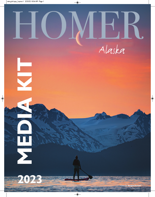

 $\overline{\bigcirc}$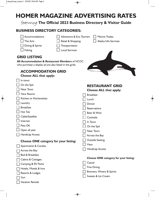$\bigcirc$ 

# **HOMER MAGAZINE ADVERTISING RATES**

 $\overline{\bullet}$ 

featuring **The Official 2023 Business Directory & Visitor Guide**

### **BUSINESS DIRECTORY CATEGORIES:**

| Accommodations                                          | Adventure & Eco Tourism |               | <b>Marine Trades</b>                         |  |  |
|---------------------------------------------------------|-------------------------|---------------|----------------------------------------------|--|--|
| The Arts                                                | Retail & Shopping       |               | Alaska Info Services                         |  |  |
| Dining & Spirits                                        | Transportation          |               |                                              |  |  |
| Fishing                                                 | <b>Local Services</b>   |               |                                              |  |  |
| <b>GRID LISTING</b>                                     |                         |               |                                              |  |  |
| All Accommodation & Restaurant Members of HCOC          |                         |               |                                              |  |  |
| who purchase a display ad are also listed in the grids. |                         |               |                                              |  |  |
| <b>ACCOMMODATION GRID</b>                               |                         |               |                                              |  |  |
| <b>Choose ALL that apply:</b>                           |                         |               |                                              |  |  |
| In-town                                                 |                         |               |                                              |  |  |
| On the Spit                                             |                         |               | <b>RESTAURANT GRID</b>                       |  |  |
| Near Town                                               |                         |               | <b>Choose ALL that apply:</b>                |  |  |
| <b>View Rooms</b>                                       |                         |               | <b>Breakfast</b>                             |  |  |
| Kitchen or Kitchenettes                                 |                         | Lunch         |                                              |  |  |
| Laundry                                                 |                         | <b>Dinner</b> |                                              |  |  |
| <b>Breakfast</b>                                        |                         |               | Reservations                                 |  |  |
| Hot Tub                                                 |                         |               | Beer & Wine                                  |  |  |
| Cable/Satellite                                         |                         |               | Cocktails                                    |  |  |
| Internet                                                |                         | In Town       |                                              |  |  |
| Pets OK                                                 |                         |               | On the Spit                                  |  |  |
| Open all year                                           |                         |               | Near Town                                    |  |  |
| <b>Handicap Access</b>                                  |                         |               | Across the Bay                               |  |  |
| <b>Choose ONE category for your listing:</b>            |                         |               | <b>Outside Seating</b>                       |  |  |
| <b>Apartments &amp; Condos</b>                          |                         | View          |                                              |  |  |
| Across the Bay                                          |                         |               | <b>Handicap Access</b>                       |  |  |
| Bed & Breakfast                                         |                         |               |                                              |  |  |
| Cabins & Cottages                                       |                         |               | <b>Choose ONE category for your listing:</b> |  |  |
| Camping & RV Parks                                      |                         | Casual        |                                              |  |  |
| Hotels, Motels & Inns                                   |                         |               | <b>Fine Dining</b>                           |  |  |
| Resorts & Lodges                                        |                         |               | Brewery, Winery & Spirits                    |  |  |
| Yurt                                                    |                         |               | Sweets & Ice Cream                           |  |  |
| <b>Vacation Rentals</b>                                 |                         |               |                                              |  |  |

 $\overline{\bullet}$ 

 $\Rightarrow$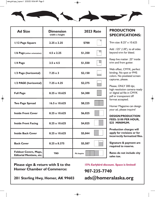$\bigcirc$ 



| <b>Ad Size</b>                                                  | <b>Dimension</b><br>width x height | <b>2023 Rate</b>   |
|-----------------------------------------------------------------|------------------------------------|--------------------|
| I/12 Page Square                                                | $2.25 \times 2.25$                 | \$700              |
| 1/6 Page (either orientation)                                   | $4.5 \times 2.25$                  | \$1,350            |
| 1/4 Page                                                        | $3.5 \times 4.5$                   | \$1,550            |
| 1/3 Page (horizontal)                                           | $7.25 \times 3$                    | \$2,150            |
| I/2 PAGE (horizontal)                                           | $7.25 \times 4.25$                 | \$2,275            |
| <b>Full Page</b>                                                | 8.25 x 10.625                      | \$4,300            |
| <b>Two Page Spread</b>                                          | $16.5 \times 10.625$               | \$8,225            |
| <b>Inside Front Cover</b>                                       | 8.25 x 10.625                      | \$6,025            |
| <b>Inside Front Facing</b>                                      | 8.25 x 10.625                      | \$4,025            |
| <b>Inside Back Cover</b>                                        | 8.25 x 10.625                      | \$5,044            |
| <b>Back Cover</b>                                               | $8.25 \times 8.375$                | \$5,587            |
| <b>Foldout Covers, Maps,</b><br><b>Editorial Mentions, etc.</b> | <b>TBD</b>                         | <b>Pls Inquire</b> |

#### **PRODUCTION SPECIFICATIONS:**

Trim size: 8.25" x 10.625

Add .125" (1/8"), to all sides beyond trim for bleed.

Keep live matter .25" inside trim and from gutter.

Web offset, CMYK, perfect binding. No spot or PMS colors. No pixelated screen captures, please.

Please, ONLY 300 dpi, high resolution camera-ready or digital ad file in CMYK pdf or transparent tiff format accepted.

◈

Homer Magazine can design your ad, please inquire!

#### **DESIGN/PRODUCTION FEES: \$100 PER HOUR, \$25 MINIMUM.**

**Production charges will apply for revisions or for incorrectly formatted files.**

**Signature & payment are required to reserve.**

**Rates do not include city sales tax.**

**Please sign & return with \$ to the Homer Chamber of Commerce:**

**15% Earlybird discount. Space is limited!** 

**907-235-7740**

◈

**201 Sterling Hwy, Homer, AK 99603**

**ads@homeralaska.org**